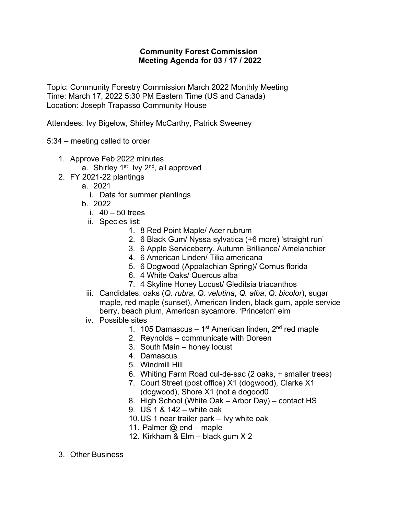## **Community Forest Commission Meeting Agenda for 03 / 17 / 2022**

Topic: Community Forestry Commission March 2022 Monthly Meeting Time: March 17, 2022 5:30 PM Eastern Time (US and Canada) Location: Joseph Trapasso Community House

Attendees: Ivy Bigelow, Shirley McCarthy, Patrick Sweeney

5:34 – meeting called to order

- 1. Approve Feb 2022 minutes
	- a. Shirley 1<sup>st</sup>, Ivy 2<sup>nd</sup>, all approved
- 2. FY 2021-22 plantings
	- a. 2021
		- i. Data for summer plantings
	- b. 2022
		- i. 40 50 trees
		- ii. Species list:
			- 1. 8 Red Point Maple/ Acer rubrum
			- 2. 6 Black Gum/ Nyssa sylvatica (+6 more) 'straight run'
			- 3. 6 Apple Serviceberry, Autumn Brilliance/ Amelanchier
			- 4. 6 American Linden/ Tilia americana
			- 5. 6 Dogwood (Appalachian Spring)/ Cornus florida
			- 6. 4 White Oaks/ Quercus alba
			- 7. 4 Skyline Honey Locust/ Gleditsia triacanthos
	- iii. Candidates: oaks (*Q. rubra*, *Q. velutina*, *Q. alba*, *Q. bicolor*), sugar maple, red maple (sunset), American linden, black gum, apple service berry, beach plum, American sycamore, 'Princeton' elm
	- iv. Possible sites
		- 1. 105 Damascus 1<sup>st</sup> American linden,  $2<sup>nd</sup>$  red maple
		- 2. Reynolds communicate with Doreen
		- 3. South Main honey locust
		- 4. Damascus
		- 5. Windmill Hill
		- 6. Whiting Farm Road cul-de-sac (2 oaks, + smaller trees)
		- 7. Court Street (post office) X1 (dogwood), Clarke X1 (dogwood), Shore X1 (not a dogood0
		- 8. High School (White Oak Arbor Day) contact HS
		- 9. US 1 & 142 white oak
		- 10.US 1 near trailer park Ivy white oak
		- 11. Palmer  $@$  end maple
		- 12. Kirkham & Elm black gum X 2
- 3. Other Business